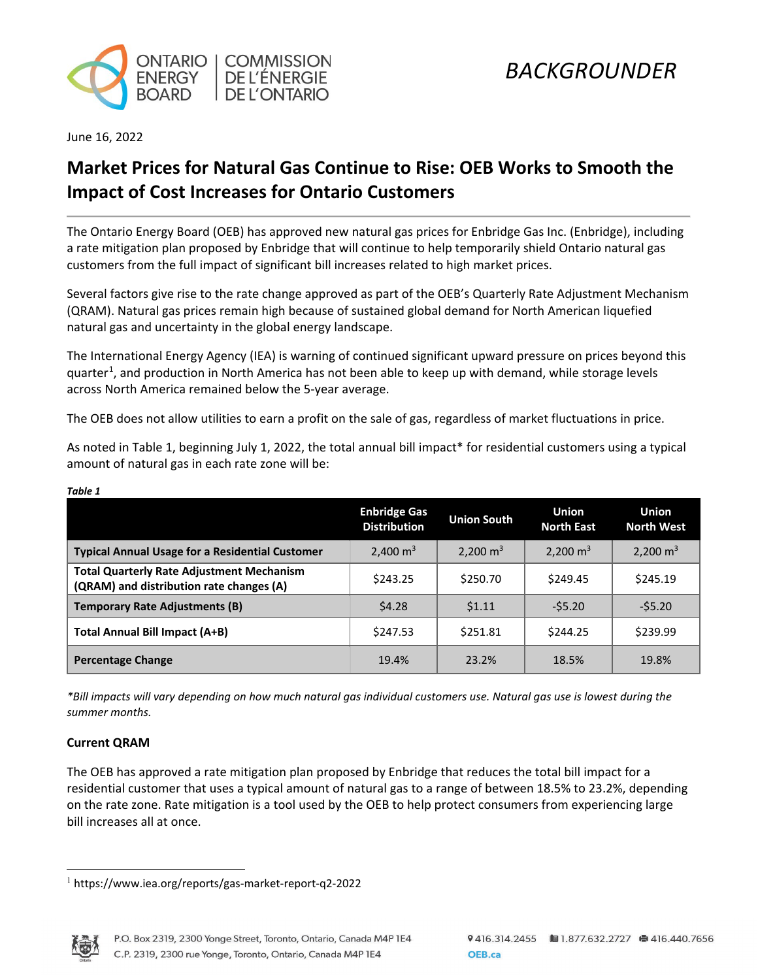

June 16, 2022

# **Market Prices for Natural Gas Continue to Rise: OEB Works to Smooth the Impact of Cost Increases for Ontario Customers**

The Ontario Energy Board (OEB) has approved new natural gas prices for Enbridge Gas Inc. (Enbridge), including a rate mitigation plan proposed by Enbridge that will continue to help temporarily shield Ontario natural gas customers from the full impact of significant bill increases related to high market prices.

Several factors give rise to the rate change approved as part of the OEB's Quarterly Rate Adjustment Mechanism (QRAM). Natural gas prices remain high because of sustained global demand for North American liquefied natural gas and uncertainty in the global energy landscape.

The International Energy Agency (IEA) is warning of continued significant upward pressure on prices beyond this quarter<sup>[1](#page-0-0)</sup>, and production in North America has not been able to keep up with demand, while storage levels across North America remained below the 5-year average.

The OEB does not allow utilities to earn a profit on the sale of gas, regardless of market fluctuations in price.

As noted in Table 1, beginning July 1, 2022, the total annual bill impact\* for residential customers using a typical amount of natural gas in each rate zone will be:

|                                                                                              | <b>Enbridge Gas</b><br><b>Distribution</b> | <b>Union South</b>  | <b>Union</b><br><b>North East</b> | <b>Union</b><br><b>North West</b> |
|----------------------------------------------------------------------------------------------|--------------------------------------------|---------------------|-----------------------------------|-----------------------------------|
| <b>Typical Annual Usage for a Residential Customer</b>                                       | 2,400 $m3$                                 | $2,200 \text{ m}^3$ | 2.200 $m3$                        | 2,200 $m3$                        |
| <b>Total Quarterly Rate Adjustment Mechanism</b><br>(QRAM) and distribution rate changes (A) | \$243.25                                   | \$250.70            | \$249.45                          | \$245.19                          |
| <b>Temporary Rate Adjustments (B)</b>                                                        | \$4.28                                     | 51.11               | $-55.20$                          | $-55.20$                          |
| <b>Total Annual Bill Impact (A+B)</b>                                                        | \$247.53                                   | \$251.81            | \$244.25                          | \$239.99                          |
| <b>Percentage Change</b>                                                                     | 19.4%                                      | 23.2%               | 18.5%                             | 19.8%                             |

*Table 1* 

*\*Bill impacts will vary depending on how much natural gas individual customers use. Natural gas use is lowest during the summer months.*

## **Current QRAM**

The OEB has approved a rate mitigation plan proposed by Enbridge that reduces the total bill impact for a residential customer that uses a typical amount of natural gas to a range of between 18.5% to 23.2%, depending on the rate zone. Rate mitigation is a tool used by the OEB to help protect consumers from experiencing large bill increases all at once.

<span id="page-0-0"></span><sup>1</sup> https://www.iea.org/reports/gas-market-report-q2-2022

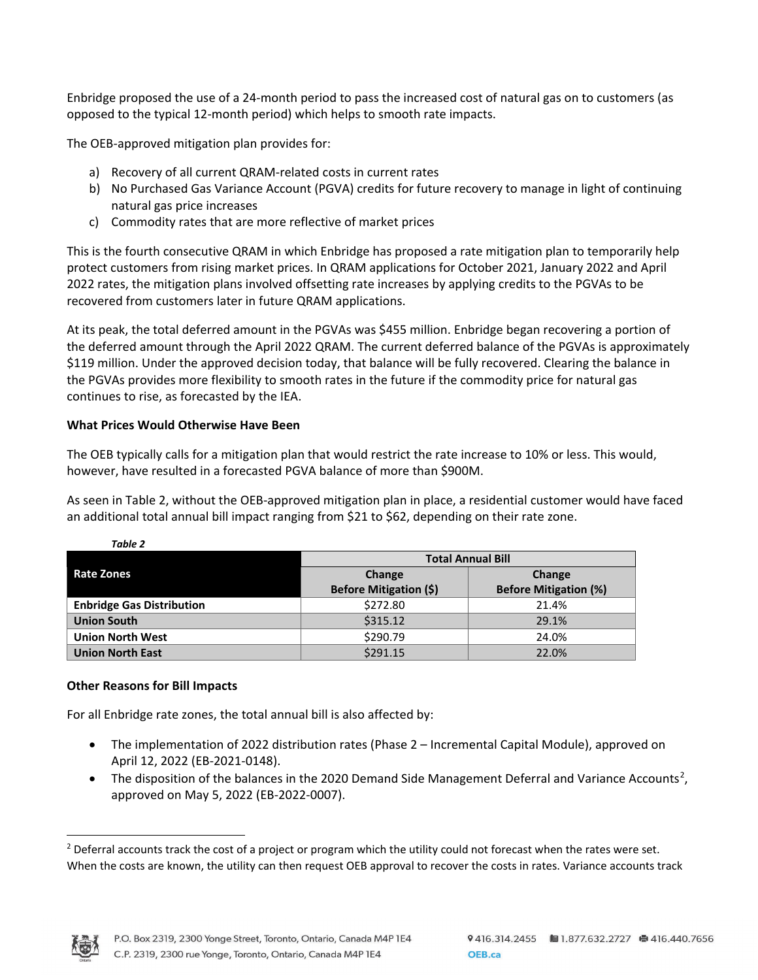Enbridge proposed the use of a 24-month period to pass the increased cost of natural gas on to customers (as opposed to the typical 12-month period) which helps to smooth rate impacts.

The OEB-approved mitigation plan provides for:

- a) Recovery of all current QRAM-related costs in current rates
- b) No Purchased Gas Variance Account (PGVA) credits for future recovery to manage in light of continuing natural gas price increases
- c) Commodity rates that are more reflective of market prices

This is the fourth consecutive QRAM in which Enbridge has proposed a rate mitigation plan to temporarily help protect customers from rising market prices. In QRAM applications for October 2021, January 2022 and April 2022 rates, the mitigation plans involved offsetting rate increases by applying credits to the PGVAs to be recovered from customers later in future QRAM applications.

At its peak, the total deferred amount in the PGVAs was \$455 million. Enbridge began recovering a portion of the deferred amount through the April 2022 QRAM. The current deferred balance of the PGVAs is approximately \$119 million. Under the approved decision today, that balance will be fully recovered. Clearing the balance in the PGVAs provides more flexibility to smooth rates in the future if the commodity price for natural gas continues to rise, as forecasted by the IEA.

## **What Prices Would Otherwise Have Been**

The OEB typically calls for a mitigation plan that would restrict the rate increase to 10% or less. This would, however, have resulted in a forecasted PGVA balance of more than \$900M.

As seen in Table 2, without the OEB-approved mitigation plan in place, a residential customer would have faced an additional total annual bill impact ranging from \$21 to \$62, depending on their rate zone.

|                                  | <b>Total Annual Bill</b>      |                              |  |
|----------------------------------|-------------------------------|------------------------------|--|
| Rate Zones                       | Change                        | Change                       |  |
|                                  | <b>Before Mitigation (\$)</b> | <b>Before Mitigation (%)</b> |  |
| <b>Enbridge Gas Distribution</b> | \$272.80                      | 21.4%                        |  |
| <b>Union South</b>               | \$315.12                      | 29.1%                        |  |
| <b>Union North West</b>          | \$290.79                      | 24.0%                        |  |
| <b>Union North East</b>          | \$291.15                      | 22.0%                        |  |

## **Other Reasons for Bill Impacts**

*Table 2* 

For all Enbridge rate zones, the total annual bill is also affected by:

- The implementation of 2022 distribution rates (Phase 2 Incremental Capital Module), approved on April 12, 2022 (EB-2021-0148).
- The disposition of the balances in the [2](#page-1-0)020 Demand Side Management Deferral and Variance Accounts<sup>2</sup>, approved on May 5, 2022 (EB-2022-0007).



<span id="page-1-0"></span><sup>&</sup>lt;sup>2</sup> Deferral accounts track the cost of a project or program which the utility could not forecast when the rates were set. When the costs are known, the utility can then request OEB approval to recover the costs in rates. Variance accounts track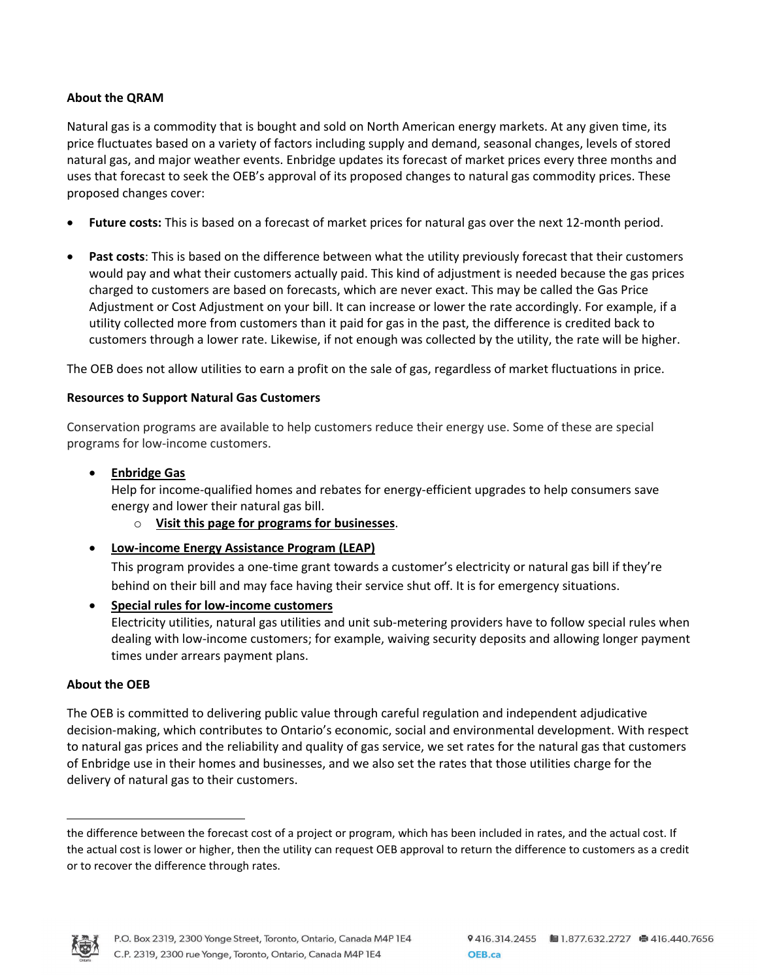## **About the QRAM**

Natural gas is a commodity that is bought and sold on North American energy markets. At any given time, its price fluctuates based on a variety of factors including supply and demand, seasonal changes, levels of stored natural gas, and major weather events. Enbridge updates its forecast of market prices every three months and uses that forecast to seek the OEB's approval of its proposed changes to natural gas commodity prices. These proposed changes cover:

- **Future costs:** This is based on a forecast of market prices for natural gas over the next 12-month period.
- **Past costs**: This is based on the difference between what the utility previously forecast that their customers would pay and what their customers actually paid. This kind of adjustment is needed because the gas prices charged to customers are based on forecasts, which are never exact. This may be called the Gas Price Adjustment or Cost Adjustment on your bill. It can increase or lower the rate accordingly. For example, if a utility collected more from customers than it paid for gas in the past, the difference is credited back to customers through a lower rate. Likewise, if not enough was collected by the utility, the rate will be higher.

The OEB does not allow utilities to earn a profit on the sale of gas, regardless of market fluctuations in price.

## **Resources to Support Natural Gas Customers**

Conservation programs are available to help customers reduce their energy use. Some of these are special programs for low-income customers.

• **[Enbridge Gas](https://www.enbridgegas.com/residential/rebates-energy-conservation)**

Help for income-qualified homes and rebates for energy-efficient upgrades to help consumers save energy and lower their natural gas bill.

- o **[Visit this page for programs for businesses](https://www.enbridgegas.com/business-industrial/incentives-conservation)**.
- **[Low-income Energy Assistance Program \(LEAP\)](https://www.oeb.ca/consumer-information-and-protection/bill-assistance-programs/low-income-energy-assistance-program)**

This program provides a one-time grant towards a customer's electricity or natural gas bill if they're behind on their bill and may face having their service shut off. It is for emergency situations.

• **[Special rules for low-income customers](https://www.oeb.ca/consumer-information-and-protection/bill-assistance-programs/low-income-energy-assistance-program#special)** Electricity utilities, natural gas utilities and unit sub-metering providers have to follow special rules when dealing with low-income customers; for example, waiving security deposits and allowing longer payment times under arrears payment plans.

## **About the OEB**

The OEB is committed to delivering public value through careful regulation and independent adjudicative decision-making, which contributes to Ontario's economic, social and environmental development. With respect to natural gas prices and the reliability and quality of gas service, we set rates for the natural gas that customers of Enbridge use in their homes and businesses, and we also set the rates that those utilities charge for the delivery of natural gas to their customers.



the difference between the forecast cost of a project or program, which has been included in rates, and the actual cost. If the actual cost is lower or higher, then the utility can request OEB approval to return the difference to customers as a credit or to recover the difference through rates.